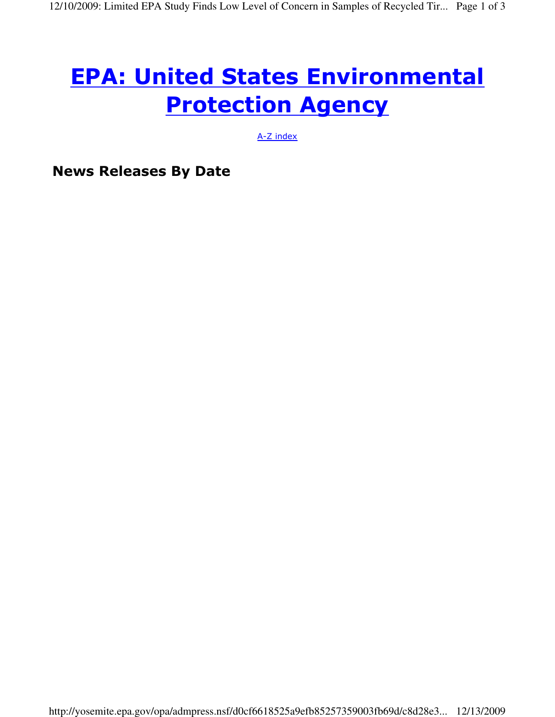# EPA: United States Environmental **Protection Agency**

A-Z index

News Releases By Date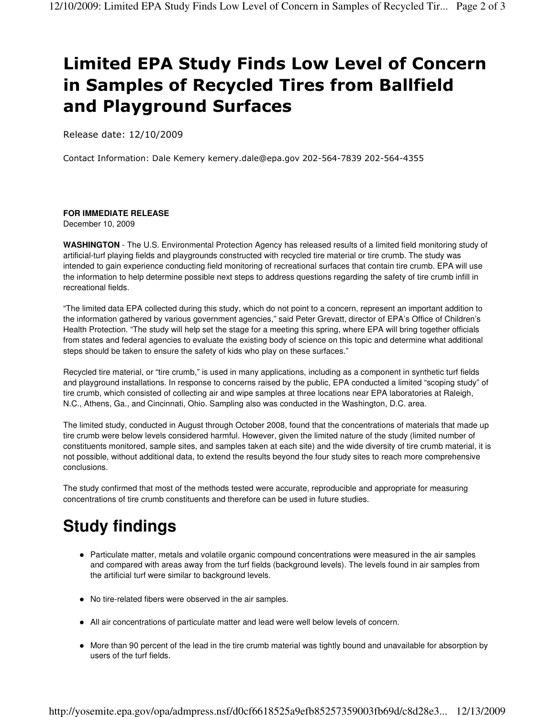## Limited EPA Study Finds Low Level of Concern in Samples of Recycled Tires from Ballfield and Playground Surfaces

Release date: 12/10/2009

Contact Information: Dale Kemery kemery.dale@epa.gov 202-564-7839 202-564-4355

#### **FOR IMMEDIATE RELEASE**

December 10, 2009

**WASHINGTON** - The U.S. Environmental Protection Agency has released results of a limited field monitoring study of artificial-turf playing fields and playgrounds constructed with recycled tire material or tire crumb. The study was intended to gain experience conducting field monitoring of recreational surfaces that contain tire crumb. EPA will use the information to help determine possible next steps to address questions regarding the safety of tire crumb infill in recreational fields.

"The limited data EPA collected during this study, which do not point to a concern, represent an important addition to the information gathered by various government agencies," said Peter Grevatt, director of EPA's Office of Children's Health Protection. "The study will help set the stage for a meeting this spring, where EPA will bring together officials from states and federal agencies to evaluate the existing body of science on this topic and determine what additional steps should be taken to ensure the safety of kids who play on these surfaces."

Recycled tire material, or "tire crumb," is used in many applications, including as a component in synthetic turf fields and playground installations. In response to concerns raised by the public, EPA conducted a limited "scoping study" of tire crumb, which consisted of collecting air and wipe samples at three locations near EPA laboratories at Raleigh, N.C., Athens, Ga., and Cincinnati, Ohio. Sampling also was conducted in the Washington, D.C. area.

The limited study, conducted in August through October 2008, found that the concentrations of materials that made up tire crumb were below levels considered harmful. However, given the limited nature of the study (limited number of constituents monitored, sample sites, and samples taken at each site) and the wide diversity of tire crumb material, it is not possible, without additional data, to extend the results beyond the four study sites to reach more comprehensive conclusions.

The study confirmed that most of the methods tested were accurate, reproducible and appropriate for measuring concentrations of tire crumb constituents and therefore can be used in future studies.

### **Study findings**

- Particulate matter, metals and volatile organic compound concentrations were measured in the air samples and compared with areas away from the turf fields (background levels). The levels found in air samples from the artificial turf were similar to background levels.
- No tire-related fibers were observed in the air samples.
- All air concentrations of particulate matter and lead were well below levels of concern.
- More than 90 percent of the lead in the tire crumb material was tightly bound and unavailable for absorption by users of the turf fields.